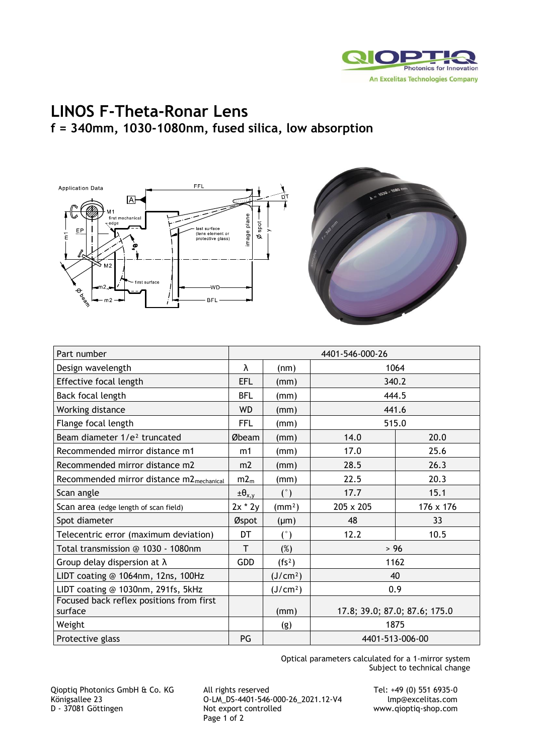

## **LINOS F-Theta-Ronar Lens f = 340mm, 1030-1080nm, fused silica, low absorption**





| Part number                                          | 4401-546-000-26    |                      |                               |           |
|------------------------------------------------------|--------------------|----------------------|-------------------------------|-----------|
| Design wavelength                                    | λ                  | (nm)                 | 1064                          |           |
| Effective focal length                               | <b>EFL</b>         | (mm)                 | 340.2                         |           |
| Back focal length                                    | <b>BFL</b>         | (mm)                 | 444.5                         |           |
| Working distance                                     | <b>WD</b>          | (mm)                 | 441.6                         |           |
| Flange focal length                                  | <b>FFL</b>         | (mm)                 | 515.0                         |           |
| Beam diameter 1/e <sup>2</sup> truncated             | Øbeam              | (mm)                 | 14.0                          | 20.0      |
| Recommended mirror distance m1                       | m1                 | (mm)                 | 17.0                          | 25.6      |
| Recommended mirror distance m2                       | m <sub>2</sub>     | (mm)                 | 28.5                          | 26.3      |
| Recommended mirror distance m2 <sub>mechanical</sub> | m2 <sub>m</sub>    | (mm)                 | 22.5                          | 20.3      |
| Scan angle                                           | $\pm \theta_{x,y}$ | (°)                  | 17.7                          | 15.1      |
| Scan area (edge length of scan field)                | $2x * 2y$          | (mm <sup>2</sup> )   | 205 x 205                     | 176 x 176 |
| Spot diameter                                        | Øspot              | $(\mu m)$            | 48                            | 33        |
| Telecentric error (maximum deviation)                | DT                 | (°)                  | 12.2                          | 10.5      |
| Total transmission @ 1030 - 1080nm                   | T                  | (%)                  | $>96$                         |           |
| Group delay dispersion at $\lambda$                  | <b>GDD</b>         | (fs <sup>2</sup> )   | 1162                          |           |
| LIDT coating @ 1064nm, 12ns, 100Hz                   |                    | (J/cm <sup>2</sup> ) | 40                            |           |
| LIDT coating @ 1030nm, 291fs, 5kHz                   |                    | (J/cm <sup>2</sup> ) | 0.9                           |           |
| Focused back reflex positions from first<br>surface  |                    | (mm)                 | 17.8; 39.0; 87.0; 87.6; 175.0 |           |
| Weight                                               |                    | (g)                  | 1875                          |           |
| Protective glass                                     | PG                 |                      | 4401-513-006-00               |           |

Optical parameters calculated for a 1-mirror system Subject to technical change

Qioptiq Photonics GmbH & Co. KG All rights reserved Tel: +49 (0) 551 6935-0 Königsallee 23 O-LM\_DS-4401-546-000-26\_2021.12-V4 Imp@excelitas.com<br>D - 37081 Göttingen Not export controlled www.qioptiq-shop.com Page 1 of 2

www.qioptiq-shop.com